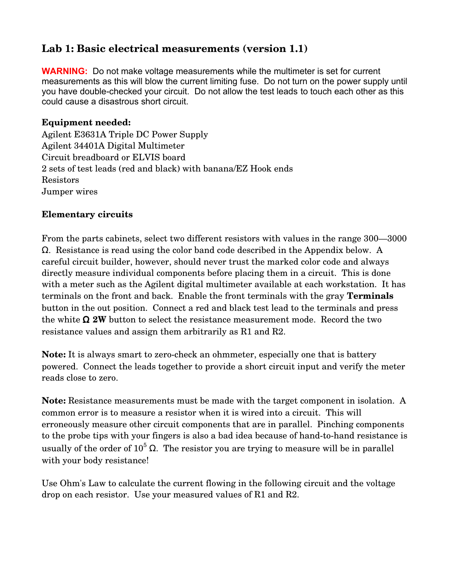# **Lab 1: Basic electrical measurements (version 1.1)**

**WARNING:** Do not make voltage measurements while the multimeter is set for current measurements as this will blow the current limiting fuse. Do not turn on the power supply until you have double-checked your circuit. Do not allow the test leads to touch each other as this could cause a disastrous short circuit.

#### **Equipment needed:**

Agilent E3631A Triple DC Power Supply Agilent 34401A Digital Multimeter Circuit breadboard or ELVIS board 2 sets of test leads (red and black) with banana/EZ Hook ends Resistors Jumper wires

### **Elementary circuits**

From the parts cabinets, select two different resistors with values in the range 300—3000  $\Omega$ . Resistance is read using the color band code described in the Appendix below. A careful circuit builder, however, should never trust the marked color code and always directly measure individual components before placing them in a circuit. This is done with a meter such as the Agilent digital multimeter available at each workstation. It has terminals on the front and back. Enable the front terminals with the gray **Terminals** button in the out position. Connect a red and black test lead to the terminals and press the white  $\Omega$  2W button to select the resistance measurement mode. Record the two resistance values and assign them arbitrarily as R1 and R2.

**Note:** It is always smart to zero-check an ohmmeter, especially one that is battery powered. Connect the leads together to provide a short circuit input and verify the meter reads close to zero.

**Note:** Resistance measurements must be made with the target component in isolation. A common error is to measure a resistor when it is wired into a circuit. This will erroneously measure other circuit components that are in parallel. Pinching components to the probe tips with your fingers is also a bad idea because of hand-to-hand resistance is usually of the order of  $10^5 \Omega$ . The resistor you are trying to measure will be in parallel with your body resistance!

Use Ohm's Law to calculate the current flowing in the following circuit and the voltage drop on each resistor. Use your measured values of R1 and R2.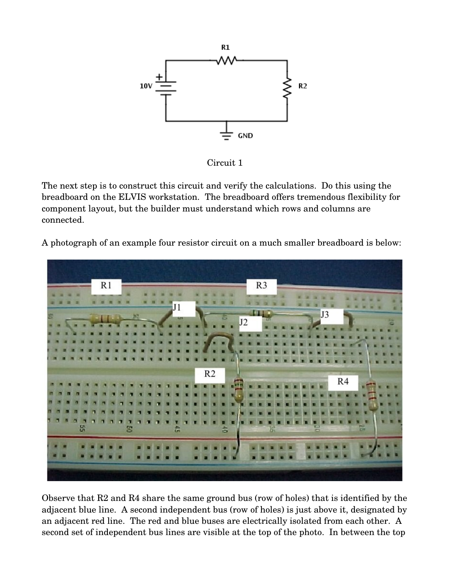

Circuit 1

The next step is to construct this circuit and verify the calculations. Do this using the breadboard on the ELVIS workstation. The breadboard offers tremendous flexibility for component layout, but the builder must understand which rows and columns are connected.

A photograph of an example four resistor circuit on a much smaller breadboard is below:



Observe that R2 and R4 share the same ground bus (row of holes) that is identified by the adjacent blue line. A second independent bus (row of holes) is just above it, designated by an adjacent red line. The red and blue buses are electrically isolated from each other. A second set of independent bus lines are visible at the top of the photo. In between the top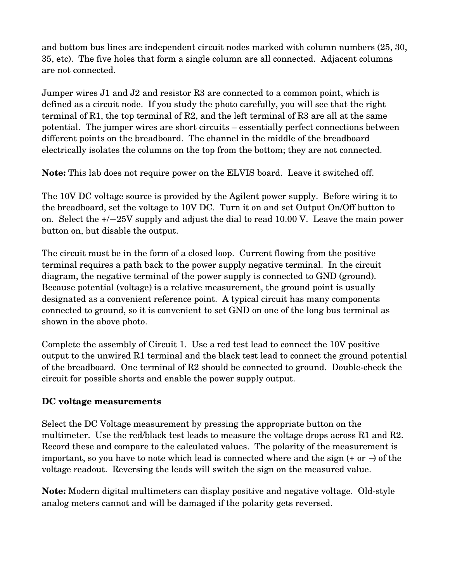and bottom bus lines are independent circuit nodes marked with column numbers (25, 30, 35, etc). The five holes that form a single column are all connected. Adjacent columns are not connected.

Jumper wires J1 and J2 and resistor R3 are connected to a common point, which is defined as a circuit node. If you study the photo carefully, you will see that the right terminal of R1, the top terminal of R2, and the left terminal of R3 are all at the same potential. The jumper wires are short circuits – essentially perfect connections between different points on the breadboard. The channel in the middle of the breadboard electrically isolates the columns on the top from the bottom; they are not connected.

**Note:** This lab does not require power on the ELVIS board. Leave it switched off.

The 10V DC voltage source is provided by the Agilent power supply. Before wiring it to the breadboard, set the voltage to 10V DC. Turn it on and set Output On/Off button to on. Select the +/− 25V supply and adjust the dial to read 10.00 V. Leave the main power button on, but disable the output.

The circuit must be in the form of a closed loop. Current flowing from the positive terminal requires a path back to the power supply negative terminal. In the circuit diagram, the negative terminal of the power supply is connected to GND (ground). Because potential (voltage) is a relative measurement, the ground point is usually designated as a convenient reference point. A typical circuit has many components connected to ground, so it is convenient to set GND on one of the long bus terminal as shown in the above photo.

Complete the assembly of Circuit 1. Use a red test lead to connect the 10V positive output to the unwired R1 terminal and the black test lead to connect the ground potential of the breadboard. One terminal of  $R2$  should be connected to ground. Double-check the circuit for possible shorts and enable the power supply output.

## **DC voltage measurements**

Select the DC Voltage measurement by pressing the appropriate button on the multimeter. Use the red/black test leads to measure the voltage drops across R1 and R2. Record these and compare to the calculated values. The polarity of the measurement is important, so you have to note which lead is connected where and the sign (+ or −) of the voltage readout. Reversing the leads will switch the sign on the measured value.

**Note:** Modern digital multimeters can display positive and negative voltage. Old-style analog meters cannot and will be damaged if the polarity gets reversed.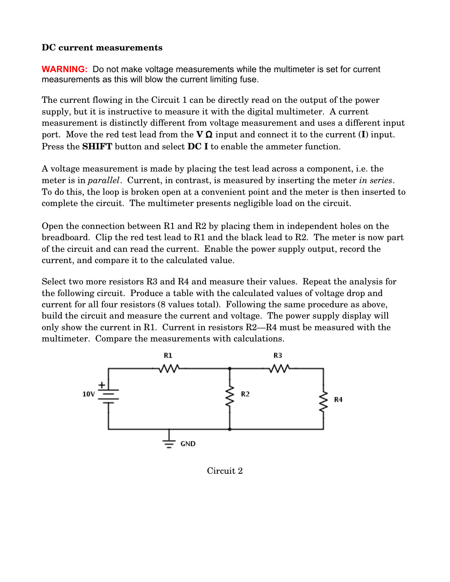#### **DC current measurements**

**WARNING:** Do not make voltage measurements while the multimeter is set for current measurements as this will blow the current limiting fuse.

The current flowing in the Circuit 1 can be directly read on the output of the power supply, but it is instructive to measure it with the digital multimeter. A current measurement is distinctly different from voltage measurement and uses a different input port. Move the red test lead from the  $V \Omega$  input and connect it to the current (**I**) input. Press the **SHIFT** button and select **DC I** to enable the ammeter function.

A voltage measurement is made by placing the test lead across a component, i.e. the meter is in *parallel*. Current, in contrast, is measured by inserting the meter *in series*. To do this, the loop is broken open at a convenient point and the meter is then inserted to complete the circuit. The multimeter presents negligible load on the circuit.

Open the connection between R1 and R2 by placing them in independent holes on the breadboard. Clip the red test lead to R1 and the black lead to R2. The meter is now part of the circuit and can read the current. Enable the power supply output, record the current, and compare it to the calculated value.

Select two more resistors R3 and R4 and measure their values. Repeat the analysis for the following circuit. Produce a table with the calculated values of voltage drop and current for all four resistors (8 values total). Following the same procedure as above, build the circuit and measure the current and voltage. The power supply display will only show the current in R1. Current in resistors R2—R4 must be measured with the multimeter. Compare the measurements with calculations.



Circuit 2